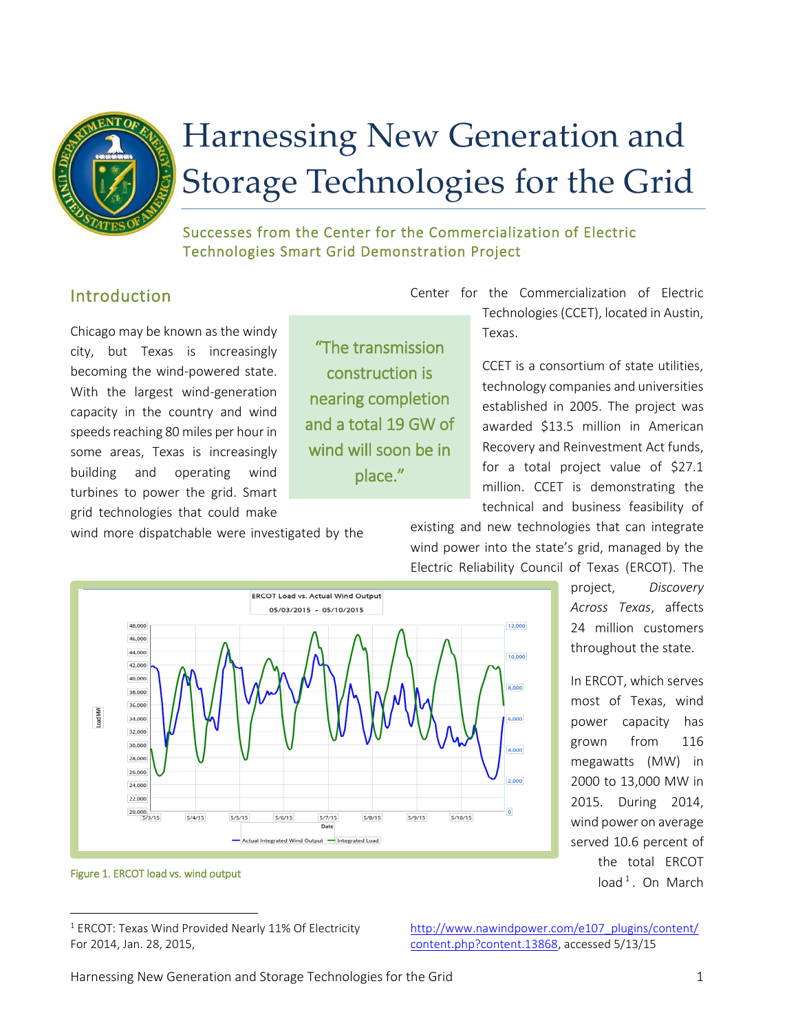

# Harnessing New Generation and Storage Technologies for the Grid

Successes from the Center for the Commercialization of Electric Technologies Smart Grid Demonstration Project

## Introduction

Chicago may be known as the windy city, but Texas is increasingly becoming the wind-powered state. With the largest wind-generation capacity in the country and wind speeds reaching 80 miles per hour in some areas, Texas is increasingly building and operating wind turbines to power the grid. Smart grid technologies that could make

"The transmission construction is nearing completion and a total 19 GW of wind will soon be in place."

Center for the Commercialization of Electric Technologies (CCET), located in Austin, Texas.

> CCET is a consortium of state utilities, technology companies and universities established in 2005. The project was awarded \$13.5 million in American Recovery and Reinvestment Act funds, for a total project value of \$27.1 million. CCET is demonstrating the technical and business feasibility of

wind more dispatchable were investigated by the





project, *Discovery Across Texas*, affects 24 million customers throughout the state.

In ERCOT, which serves most of Texas, wind power capacity has grown from 116 megawatts (MW) in 2000 to 13,000 MW in 2015. During 2014, wind power on average served 10.6 percent of the total ERCOT  $load<sup>1</sup>$ . On March

 $\overline{\phantom{a}}$ 

[http://www.nawindpower.com/e107\\_plugins/content/](http://www.nawindpower.com/e107_plugins/content/content.php?content.13868) [content.php?content.13868,](http://www.nawindpower.com/e107_plugins/content/content.php?content.13868) accessed 5/13/15

Figure 1. ERCOT load vs. wind output

 $1$  ERCOT: Texas Wind Provided Nearly 11% Of Electricity For 2014, Jan. 28, 2015,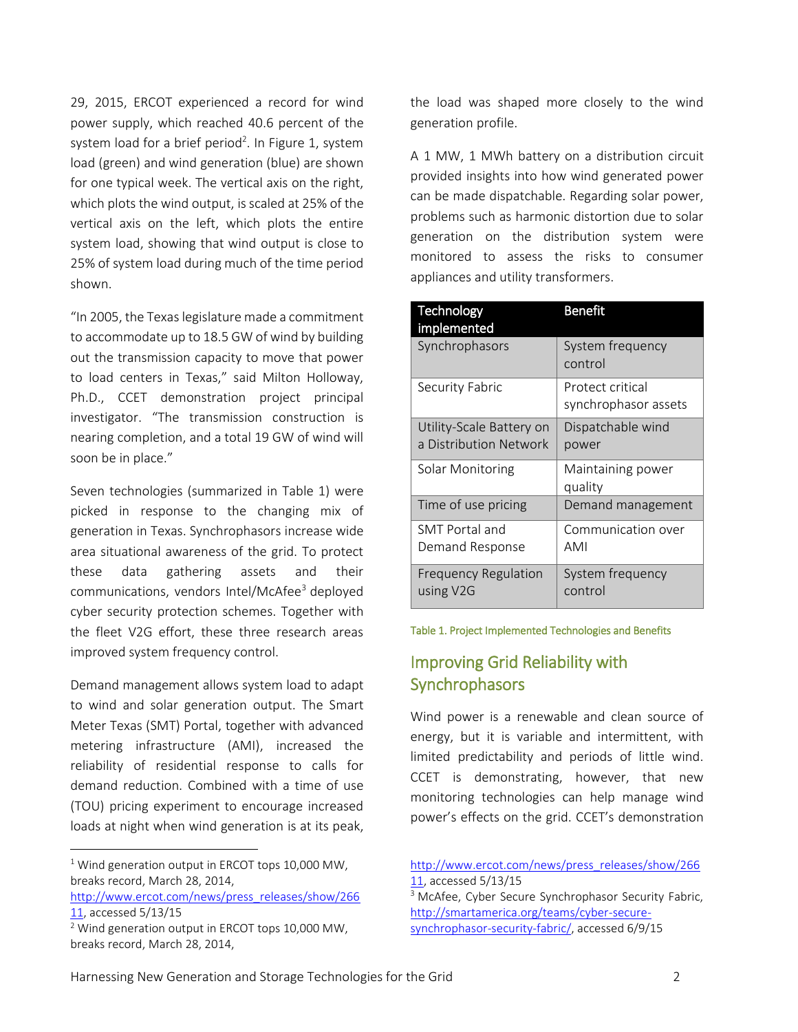29, 2015, ERCOT experienced a record for wind power supply, which reached 40.6 percent of the system load for a brief period<sup>2</sup>. In Figure 1, system load (green) and wind generation (blue) are shown for one typical week. The vertical axis on the right, which plots the wind output, is scaled at 25% of the vertical axis on the left, which plots the entire system load, showing that wind output is close to 25% of system load during much of the time period shown.

"In 2005, the Texas legislature made a commitment to accommodate up to 18.5 GW of wind by building out the transmission capacity to move that power to load centers in Texas," said Milton Holloway, Ph.D., CCET demonstration project principal investigator. "The transmission construction is nearing completion, and a total 19 GW of wind will soon be in place."

Seven technologies (summarized in Table 1) were picked in response to the changing mix of generation in Texas. Synchrophasors increase wide area situational awareness of the grid. To protect these data gathering assets and their communications, vendors Intel/McAfee<sup>3</sup> deployed cyber security protection schemes. Together with the fleet V2G effort, these three research areas improved system frequency control.

Demand management allows system load to adapt to wind and solar generation output. The Smart Meter Texas (SMT) Portal, together with advanced metering infrastructure (AMI), increased the reliability of residential response to calls for demand reduction. Combined with a time of use (TOU) pricing experiment to encourage increased loads at night when wind generation is at its peak,

 $1$  Wind generation output in ERCOT tops 10,000 MW, breaks record, March 28, 2014,

l

[http://www.ercot.com/news/press\\_releases/show/266](http://www.ercot.com/news/press_releases/show/26611) [11,](http://www.ercot.com/news/press_releases/show/26611) accessed 5/13/15

the load was shaped more closely to the wind generation profile.

A 1 MW, 1 MWh battery on a distribution circuit provided insights into how wind generated power can be made dispatchable. Regarding solar power, problems such as harmonic distortion due to solar generation on the distribution system were monitored to assess the risks to consumer appliances and utility transformers.

| Technology<br>implemented                | <b>Benefit</b>                           |
|------------------------------------------|------------------------------------------|
| Synchrophasors                           | System frequency<br>control              |
| Security Fabric                          | Protect critical<br>synchrophasor assets |
| Utility-Scale Battery on                 | Dispatchable wind                        |
| a Distribution Network                   | power                                    |
| Solar Monitoring                         | Maintaining power<br>quality             |
| Time of use pricing                      | Demand management                        |
| SMT Portal and                           | Communication over                       |
| Demand Response                          | <b>AMI</b>                               |
| <b>Frequency Regulation</b><br>using V2G | System frequency<br>control              |

#### Table 1. Project Implemented Technologies and Benefits

## Improving Grid Reliability with **Synchrophasors**

Wind power is a renewable and clean source of energy, but it is variable and intermittent, with limited predictability and periods of little wind. CCET is demonstrating, however, that new monitoring technologies can help manage wind power's effects on the grid. CCET's demonstration

[http://www.ercot.com/news/press\\_releases/show/266](http://www.ercot.com/news/press_releases/show/26611) [11,](http://www.ercot.com/news/press_releases/show/26611) accessed 5/13/15 <sup>3</sup> McAfee, Cyber Secure Synchrophasor Security Fabric, [http://smartamerica.org/teams/cyber-secure-](http://smartamerica.org/teams/cyber-secure-synchrophasor-security-fabric/)

<sup>&</sup>lt;sup>2</sup> Wind generation output in ERCOT tops 10,000 MW, breaks record, March 28, 2014,

[synchrophasor-security-fabric/,](http://smartamerica.org/teams/cyber-secure-synchrophasor-security-fabric/) accessed 6/9/15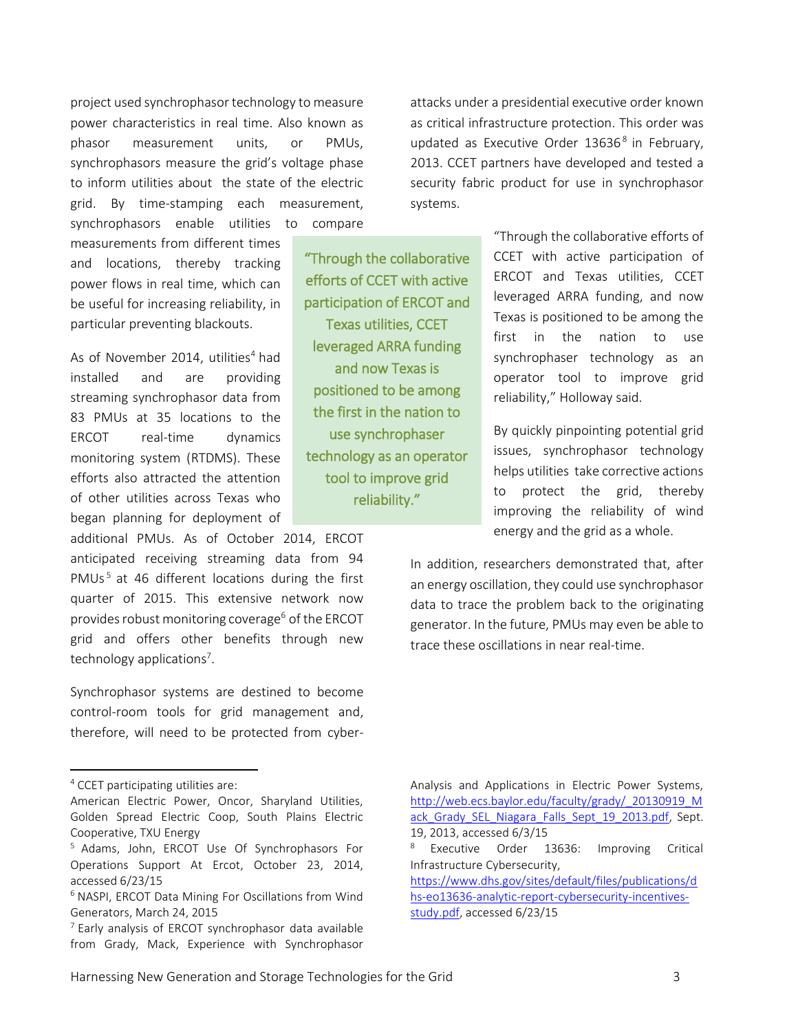project used synchrophasor technology to measure power characteristics in real time. Also known as phasor measurement units, or PMUs, synchrophasors measure the grid's voltage phase to inform utilities about the state of the electric grid. By time-stamping each measurement, synchrophasors enable utilities to compare

measurements from different times and locations, thereby tracking power flows in real time, which can be useful for increasing reliability, in particular preventing blackouts.

As of November 2014, utilities $4$  had installed and are providing streaming synchrophasor data from 83 PMUs at 35 locations to the ERCOT real-time dynamics monitoring system (RTDMS). These efforts also attracted the attention of other utilities across Texas who began planning for deployment of

additional PMUs. As of October 2014, ERCOT anticipated receiving streaming data from 94 PMUs<sup>5</sup> at 46 different locations during the first quarter of 2015. This extensive network now provides robust monitoring coverage<sup>6</sup> of the ERCOT grid and offers other benefits through new technology applications<sup>7</sup>.

Synchrophasor systems are destined to become control-room tools for grid management and, therefore, will need to be protected from cyber-

l

attacks under a presidential executive order known as critical infrastructure protection. This order was updated as Executive Order 13636<sup>8</sup> in February, 2013. CCET partners have developed and tested a security fabric product for use in synchrophasor systems.

"Through the collaborative efforts of CCET with active participation of ERCOT and Texas utilities, CCET leveraged ARRA funding and now Texas is positioned to be among the first in the nation to use synchrophaser technology as an operator tool to improve grid reliability."

"Through the collaborative efforts of CCET with active participation of ERCOT and Texas utilities, CCET leveraged ARRA funding, and now Texas is positioned to be among the first in the nation to use synchrophaser technology as an operator tool to improve grid reliability," Holloway said.

By quickly pinpointing potential grid issues, synchrophasor technology helps utilities take corrective actions to protect the grid, thereby improving the reliability of wind energy and the grid as a whole.

In addition, researchers demonstrated that, after an energy oscillation, they could use synchrophasor data to trace the problem back to the originating generator. In the future, PMUs may even be able to trace these oscillations in near real-time.

[https://www.dhs.gov/sites/default/files/publications/d](https://www.dhs.gov/sites/default/files/publications/dhs-eo13636-analytic-report-cybersecurity-incentives-study.pdf) [hs-eo13636-analytic-report-cybersecurity-incentives](https://www.dhs.gov/sites/default/files/publications/dhs-eo13636-analytic-report-cybersecurity-incentives-study.pdf)[study.pdf,](https://www.dhs.gov/sites/default/files/publications/dhs-eo13636-analytic-report-cybersecurity-incentives-study.pdf) accessed 6/23/15

<sup>4</sup> CCET participating utilities are:

American Electric Power, Oncor, Sharyland Utilities, Golden Spread Electric Coop, South Plains Electric Cooperative, TXU Energy

<sup>5</sup> Adams, John, ERCOT Use Of Synchrophasors For Operations Support At Ercot, October 23, 2014, accessed 6/23/15

<sup>6</sup> NASPI, ERCOT Data Mining For Oscillations from Wind Generators, March 24, 2015

 $7$  Early analysis of ERCOT synchrophasor data available from Grady, Mack, Experience with Synchrophasor

Analysis and Applications in Electric Power Systems, [http://web.ecs.baylor.edu/faculty/grady/\\_20130919\\_M](http://web.ecs.baylor.edu/faculty/grady/_20130919_Mack_Grady_SEL_Niagara_Falls_Sept_19_2013.pdf) ack Grady SEL Niagara Falls Sept 19 2013.pdf, Sept. 19, 2013, accessed 6/3/15

Executive Order 13636: Improving Critical Infrastructure Cybersecurity,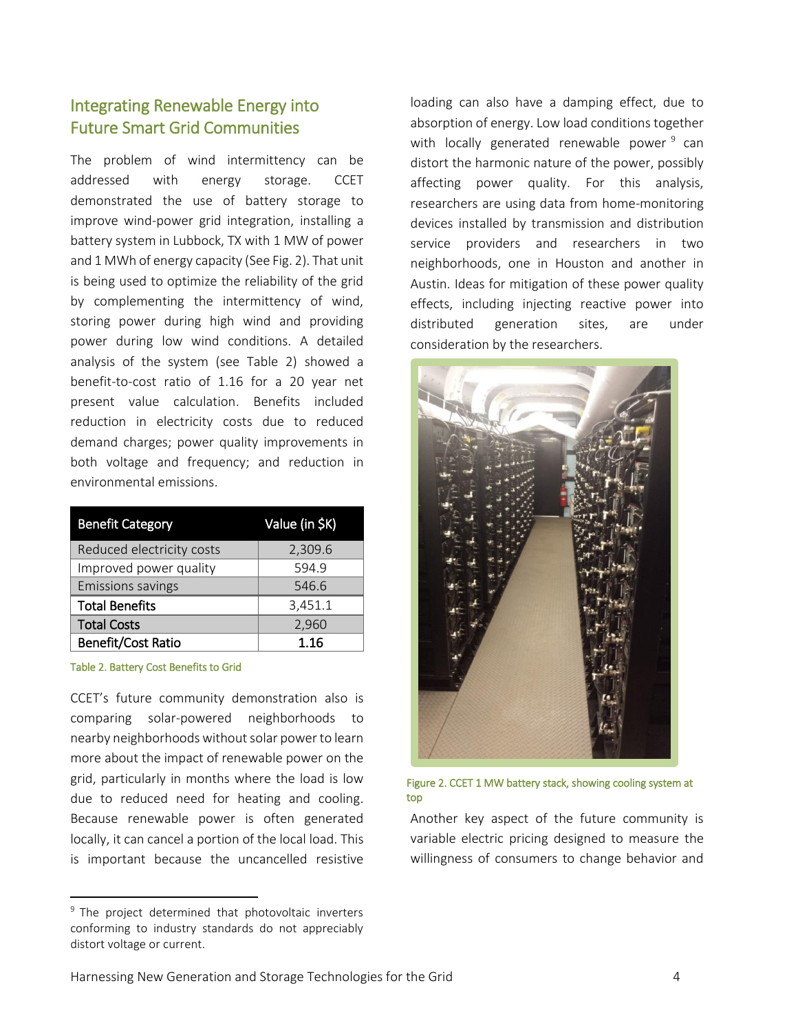## Integrating Renewable Energy into Future Smart Grid Communities

The problem of wind intermittency can be addressed with energy storage. CCET demonstrated the use of battery storage to improve wind-power grid integration, installing a battery system in Lubbock, TX with 1 MW of power and 1 MWh of energy capacity (See Fig. 2). That unit is being used to optimize the reliability of the grid by complementing the intermittency of wind, storing power during high wind and providing power during low wind conditions. A detailed analysis of the system (see Table 2) showed a benefit-to-cost ratio of 1.16 for a 20 year net present value calculation. Benefits included reduction in electricity costs due to reduced demand charges; power quality improvements in both voltage and frequency; and reduction in environmental emissions.

| <b>Benefit Category</b>   | Value (in \$K) |
|---------------------------|----------------|
| Reduced electricity costs | 2,309.6        |
| Improved power quality    | 594.9          |
| <b>Emissions savings</b>  | 546.6          |
| <b>Total Benefits</b>     | 3,451.1        |
| <b>Total Costs</b>        | 2,960          |
| Benefit/Cost Ratio        | 1.16           |

#### Table 2. Battery Cost Benefits to Grid

 $\overline{\phantom{a}}$ 

CCET's future community demonstration also is comparing solar-powered neighborhoods to nearby neighborhoods without solar powerto learn more about the impact of renewable power on the grid, particularly in months where the load is low due to reduced need for heating and cooling. Because renewable power is often generated locally, it can cancel a portion of the local load. This is important because the uncancelled resistive

loading can also have a damping effect, due to absorption of energy. Low load conditions together with locally generated renewable power <sup>9</sup> can distort the harmonic nature of the power, possibly affecting power quality. For this analysis, researchers are using data from home-monitoring devices installed by transmission and distribution service providers and researchers in two neighborhoods, one in Houston and another in Austin. Ideas for mitigation of these power quality effects, including injecting reactive power into distributed generation sites, are under consideration by the researchers.



Figure 2. CCET 1 MW battery stack, showing cooling system at top

Another key aspect of the future community is variable electric pricing designed to measure the willingness of consumers to change behavior and

<sup>&</sup>lt;sup>9</sup> The project determined that photovoltaic inverters conforming to industry standards do not appreciably distort voltage or current.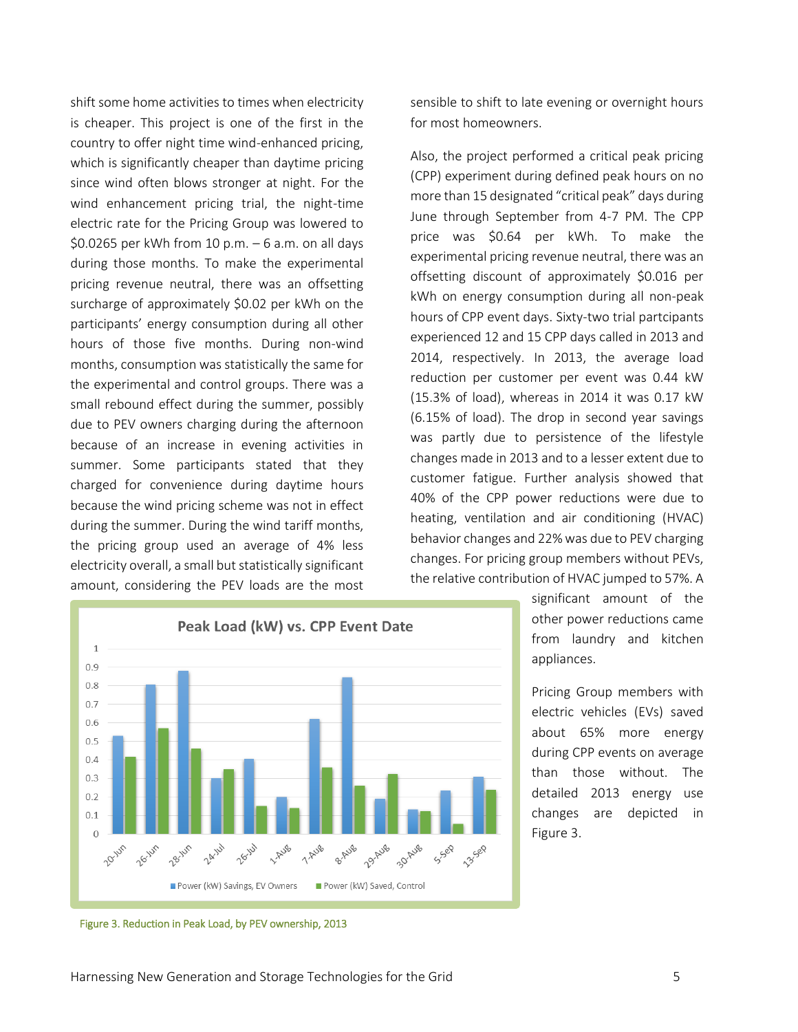shift some home activities to times when electricity is cheaper. This project is one of the first in the country to offer night time wind-enhanced pricing, which is significantly cheaper than daytime pricing since wind often blows stronger at night. For the wind enhancement pricing trial, the night-time electric rate for the Pricing Group was lowered to \$0.0265 per kWh from 10 p.m. – 6 a.m. on all days during those months. To make the experimental pricing revenue neutral, there was an offsetting surcharge of approximately \$0.02 per kWh on the participants' energy consumption during all other hours of those five months. During non-wind months, consumption was statistically the same for the experimental and control groups. There was a small rebound effect during the summer, possibly due to PEV owners charging during the afternoon because of an increase in evening activities in summer. Some participants stated that they charged for convenience during daytime hours because the wind pricing scheme was not in effect during the summer. During the wind tariff months, the pricing group used an average of 4% less electricity overall, a small but statistically significant amount, considering the PEV loads are the most

sensible to shift to late evening or overnight hours for most homeowners.

Also, the project performed a critical peak pricing (CPP) experiment during defined peak hours on no more than 15 designated "critical peak" days during June through September from 4-7 PM. The CPP price was \$0.64 per kWh. To make the experimental pricing revenue neutral, there was an offsetting discount of approximately \$0.016 per kWh on energy consumption during all non-peak hours of CPP event days. Sixty-two trial partcipants experienced 12 and 15 CPP days called in 2013 and 2014, respectively. In 2013, the average load reduction per customer per event was 0.44 kW (15.3% of load), whereas in 2014 it was 0.17 kW (6.15% of load). The drop in second year savings was partly due to persistence of the lifestyle changes made in 2013 and to a lesser extent due to customer fatigue. Further analysis showed that 40% of the CPP power reductions were due to heating, ventilation and air conditioning (HVAC) behavior changes and 22% was due to PEV charging changes. For pricing group members without PEVs, the relative contribution of HVAC jumped to 57%. A



significant amount of the other power reductions came from laundry and kitchen appliances.

Pricing Group members with electric vehicles (EVs) saved about 65% more energy during CPP events on average than those without. The detailed 2013 energy use changes are depicted in Figure 3.

Figure 3. Reduction in Peak Load, by PEV ownership, 2013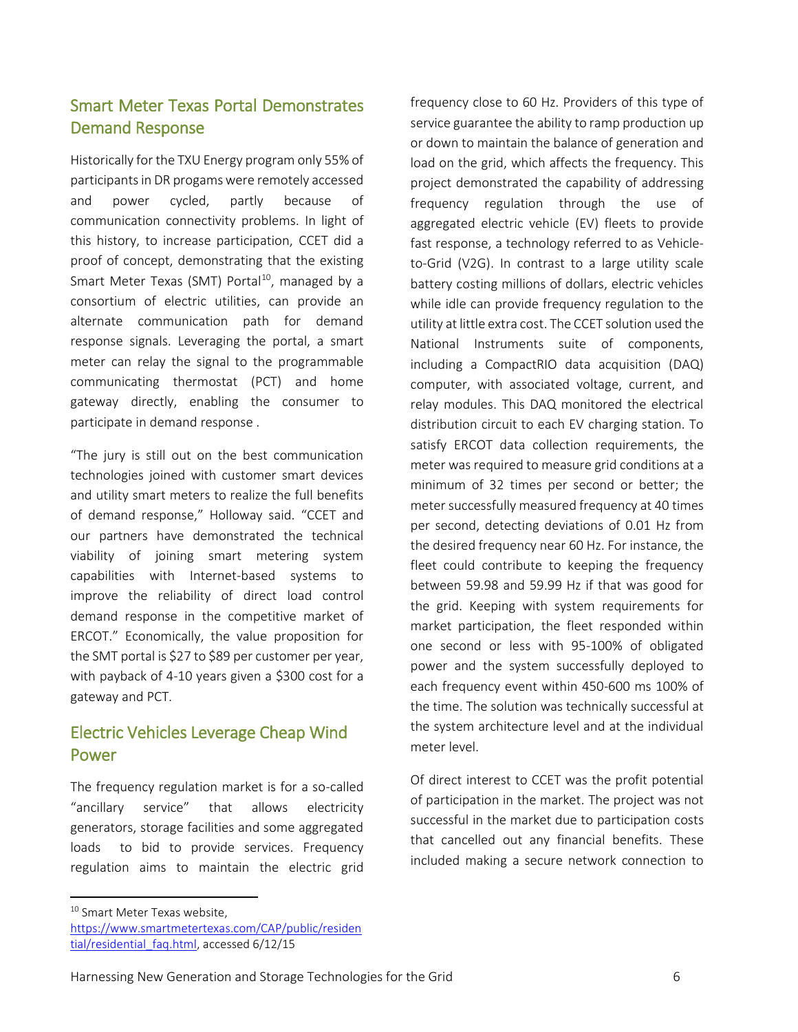## Smart Meter Texas Portal Demonstrates Demand Response

Historically for the TXU Energy program only 55% of participants in DR progams were remotely accessed and power cycled, partly because of communication connectivity problems. In light of this history, to increase participation, CCET did a proof of concept, demonstrating that the existing Smart Meter Texas (SMT) Portal<sup>10</sup>, managed by a consortium of electric utilities, can provide an alternate communication path for demand response signals. Leveraging the portal, a smart meter can relay the signal to the programmable communicating thermostat (PCT) and home gateway directly, enabling the consumer to participate in demand response .

"The jury is still out on the best communication technologies joined with customer smart devices and utility smart meters to realize the full benefits of demand response," Holloway said. "CCET and our partners have demonstrated the technical viability of joining smart metering system capabilities with Internet-based systems to improve the reliability of direct load control demand response in the competitive market of ERCOT." Economically, the value proposition for the SMT portal is \$27 to \$89 per customer per year, with payback of 4-10 years given a \$300 cost for a gateway and PCT.

# Electric Vehicles Leverage Cheap Wind Power

The frequency regulation market is for a so-called "ancillary service" that allows electricity generators, storage facilities and some aggregated loads to bid to provide services. Frequency regulation aims to maintain the electric grid

frequency close to 60 Hz. Providers of this type of service guarantee the ability to ramp production up or down to maintain the balance of generation and load on the grid, which affects the frequency. This project demonstrated the capability of addressing frequency regulation through the use of aggregated electric vehicle (EV) fleets to provide fast response, a technology referred to as Vehicleto-Grid (V2G). In contrast to a large utility scale battery costing millions of dollars, electric vehicles while idle can provide frequency regulation to the utility at little extra cost. The CCET solution used the National Instruments suite of components, including a CompactRIO data acquisition (DAQ) computer, with associated voltage, current, and relay modules. This DAQ monitored the electrical distribution circuit to each EV charging station. To satisfy ERCOT data collection requirements, the meter was required to measure grid conditions at a minimum of 32 times per second or better; the meter successfully measured frequency at 40 times per second, detecting deviations of 0.01 Hz from the desired frequency near 60 Hz. For instance, the fleet could contribute to keeping the frequency between 59.98 and 59.99 Hz if that was good for the grid. Keeping with system requirements for market participation, the fleet responded within one second or less with 95-100% of obligated power and the system successfully deployed to each frequency event within 450-600 ms 100% of the time. The solution was technically successful at the system architecture level and at the individual meter level.

Of direct interest to CCET was the profit potential of participation in the market. The project was not successful in the market due to participation costs that cancelled out any financial benefits. These included making a secure network connection to

 $\overline{\phantom{a}}$ 

Harnessing New Generation and Storage Technologies for the Grid 6

<sup>&</sup>lt;sup>10</sup> Smart Meter Texas website.

[https://www.smartmetertexas.com/CAP/public/residen](https://www.smartmetertexas.com/CAP/public/residential/residential_faq.html) [tial/residential\\_faq.html,](https://www.smartmetertexas.com/CAP/public/residential/residential_faq.html) accessed 6/12/15